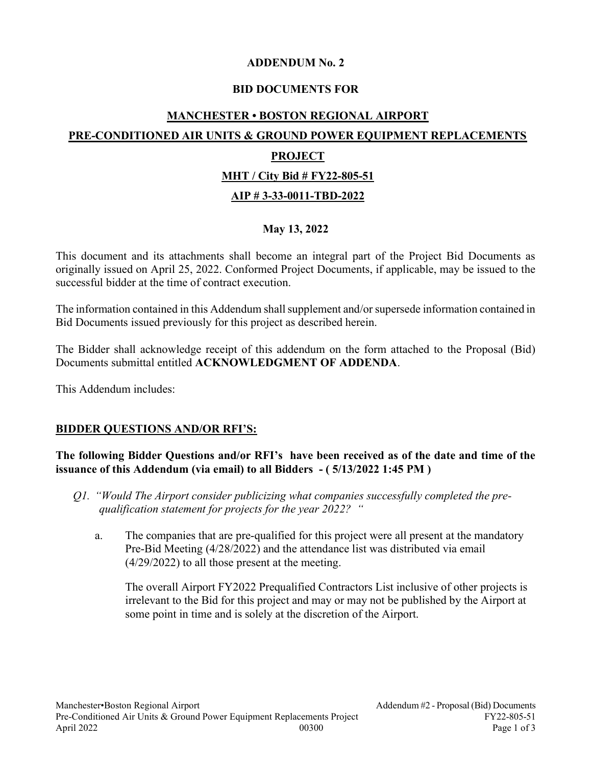#### ADDENDUM No. 2

## BID DOCUMENTS FOR

# MANCHESTER • BOSTON REGIONAL AIRPORT PRE-CONDITIONED AIR UNITS & GROUND POWER EQUIPMENT REPLACEMENTS PROJECT MHT / City Bid # FY22-805-51 AIP # 3-33-0011-TBD-2022

## May 13, 2022

This document and its attachments shall become an integral part of the Project Bid Documents as originally issued on April 25, 2022. Conformed Project Documents, if applicable, may be issued to the successful bidder at the time of contract execution.

The information contained in this Addendum shall supplement and/or supersede information contained in Bid Documents issued previously for this project as described herein.

The Bidder shall acknowledge receipt of this addendum on the form attached to the Proposal (Bid) Documents submittal entitled ACKNOWLEDGMENT OF ADDENDA.

This Addendum includes:

#### BIDDER QUESTIONS AND/OR RFI'S:

#### The following Bidder Questions and/or RFI's have been received as of the date and time of the issuance of this Addendum (via email) to all Bidders - ( 5/13/2022 1:45 PM )

- Q1. "Would The Airport consider publicizing what companies successfully completed the prequalification statement for projects for the year 2022? "
	- a. The companies that are pre-qualified for this project were all present at the mandatory Pre-Bid Meeting (4/28/2022) and the attendance list was distributed via email (4/29/2022) to all those present at the meeting.

The overall Airport FY2022 Prequalified Contractors List inclusive of other projects is irrelevant to the Bid for this project and may or may not be published by the Airport at some point in time and is solely at the discretion of the Airport.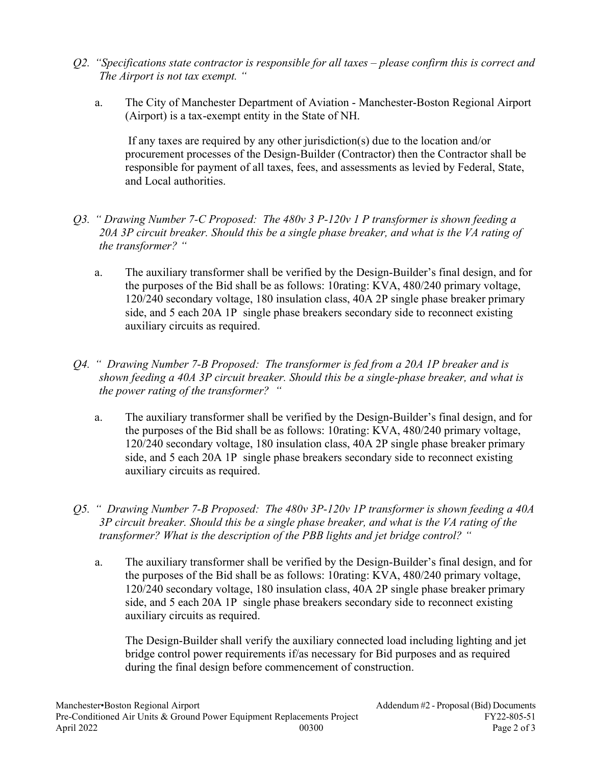- $Q2.$  "Specifications state contractor is responsible for all taxes please confirm this is correct and The Airport is not tax exempt. "
	- a. The City of Manchester Department of Aviation Manchester-Boston Regional Airport (Airport) is a tax-exempt entity in the State of NH.

 If any taxes are required by any other jurisdiction(s) due to the location and/or procurement processes of the Design-Builder (Contractor) then the Contractor shall be responsible for payment of all taxes, fees, and assessments as levied by Federal, State, and Local authorities.

- Q3. " Drawing Number 7-C Proposed: The  $480v$  3 P-120v 1 P transformer is shown feeding a 20A 3P circuit breaker. Should this be a single phase breaker, and what is the VA rating of the transformer? "
	- a. The auxiliary transformer shall be verified by the Design-Builder's final design, and for the purposes of the Bid shall be as follows: 10rating: KVA, 480/240 primary voltage, 120/240 secondary voltage, 180 insulation class, 40A 2P single phase breaker primary side, and 5 each 20A 1P single phase breakers secondary side to reconnect existing auxiliary circuits as required.
- Q4. " Drawing Number 7-B Proposed: The transformer is fed from a 20A 1P breaker and is shown feeding a 40A 3P circuit breaker. Should this be a single-phase breaker, and what is the power rating of the transformer? "
	- a. The auxiliary transformer shall be verified by the Design-Builder's final design, and for the purposes of the Bid shall be as follows: 10rating: KVA, 480/240 primary voltage, 120/240 secondary voltage, 180 insulation class, 40A 2P single phase breaker primary side, and 5 each 20A 1P single phase breakers secondary side to reconnect existing auxiliary circuits as required.
- Q5. " Drawing Number 7-B Proposed: The 480v 3P-120v 1P transformer is shown feeding a 40A 3P circuit breaker. Should this be a single phase breaker, and what is the VA rating of the transformer? What is the description of the PBB lights and jet bridge control? "
	- a. The auxiliary transformer shall be verified by the Design-Builder's final design, and for the purposes of the Bid shall be as follows: 10rating: KVA, 480/240 primary voltage, 120/240 secondary voltage, 180 insulation class, 40A 2P single phase breaker primary side, and 5 each 20A 1P single phase breakers secondary side to reconnect existing auxiliary circuits as required.

The Design-Builder shall verify the auxiliary connected load including lighting and jet bridge control power requirements if/as necessary for Bid purposes and as required during the final design before commencement of construction.